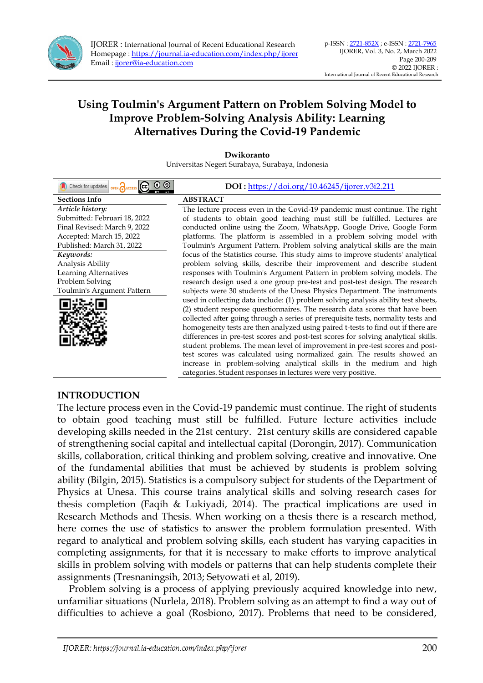

| $\odot$ $\odot$<br>Concert for updates <b>OPEN</b> ACCESS CO | DOI: https://doi.org/10.46245/ijorer.v3i2.211                                      |
|--------------------------------------------------------------|------------------------------------------------------------------------------------|
| <b>Sections Info</b>                                         | <b>ABSTRACT</b>                                                                    |
| Article history:                                             | The lecture process even in the Covid-19 pandemic must continue. The right         |
| Submitted: Februari 18, 2022                                 | of students to obtain good teaching must still be fulfilled. Lectures are          |
| Final Revised: March 9, 2022                                 | conducted online using the Zoom, WhatsApp, Google Drive, Google Form               |
| Accepted: March 15, 2022                                     | platforms. The platform is assembled in a problem solving model with               |
| Published: March 31, 2022                                    | Toulmin's Argument Pattern. Problem solving analytical skills are the main         |
| Keywords:                                                    | focus of the Statistics course. This study aims to improve students' analytical    |
| Analysis Ability                                             | problem solving skills, describe their improvement and describe student            |
| Learning Alternatives                                        | responses with Toulmin's Argument Pattern in problem solving models. The           |
| Problem Solving                                              | research design used a one group pre-test and post-test design. The research       |
| Toulmin's Argument Pattern                                   | subjects were 30 students of the Unesa Physics Department. The instruments         |
|                                                              | used in collecting data include: (1) problem solving analysis ability test sheets, |
|                                                              | (2) student response questionnaires. The research data scores that have been       |
|                                                              | collected after going through a series of prerequisite tests, normality tests and  |
|                                                              | homogeneity tests are then analyzed using paired t-tests to find out if there are  |
|                                                              | differences in pre-test scores and post-test scores for solving analytical skills. |
|                                                              | student problems. The mean level of improvement in pre-test scores and post-       |
|                                                              | test scores was calculated using normalized gain. The results showed an            |
|                                                              | increase in problem-solving analytical skills in the medium and high               |
|                                                              | categories. Student responses in lectures were very positive.                      |

## **Dwikoranto**  Universitas Negeri Surabaya, Surabaya, Indonesia

# **INTRODUCTION**

The lecture process even in the Covid-19 pandemic must continue. The right of students to obtain good teaching must still be fulfilled. Future lecture activities include developing skills needed in the 21st century. 21st century skills are considered capable of strengthening social capital and intellectual capital (Dorongin, 2017). Communication skills, collaboration, critical thinking and problem solving, creative and innovative. One of the fundamental abilities that must be achieved by students is problem solving ability (Bilgin, 2015). Statistics is a compulsory subject for students of the Department of Physics at Unesa. This course trains analytical skills and solving research cases for thesis completion (Faqih & Lukiyadi, 2014). The practical implications are used in Research Methods and Thesis. When working on a thesis there is a research method, here comes the use of statistics to answer the problem formulation presented. With regard to analytical and problem solving skills, each student has varying capacities in completing assignments, for that it is necessary to make efforts to improve analytical skills in problem solving with models or patterns that can help students complete their assignments (Tresnaningsih, 2013; Setyowati et al, 2019).

Problem solving is a process of applying previously acquired knowledge into new, unfamiliar situations (Nurlela, 2018). Problem solving as an attempt to find a way out of difficulties to achieve a goal (Rosbiono, 2017). Problems that need to be considered,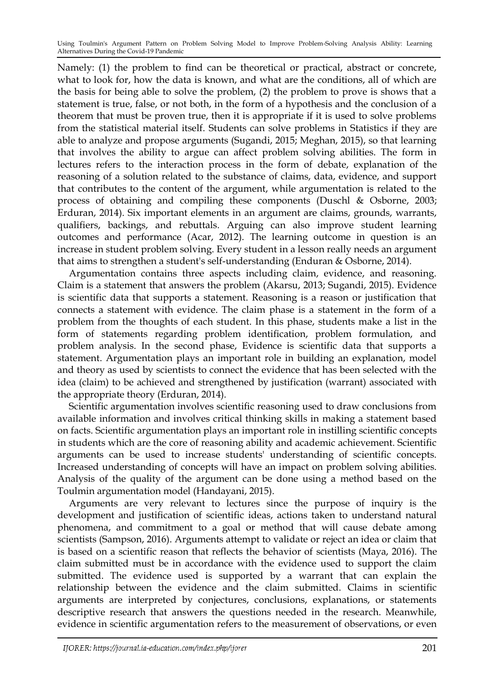Namely: (1) the problem to find can be theoretical or practical, abstract or concrete, what to look for, how the data is known, and what are the conditions, all of which are the basis for being able to solve the problem, (2) the problem to prove is shows that a statement is true, false, or not both, in the form of a hypothesis and the conclusion of a theorem that must be proven true, then it is appropriate if it is used to solve problems from the statistical material itself. Students can solve problems in Statistics if they are able to analyze and propose arguments (Sugandi, 2015; Meghan, 2015), so that learning that involves the ability to argue can affect problem solving abilities. The form in lectures refers to the interaction process in the form of debate, explanation of the reasoning of a solution related to the substance of claims, data, evidence, and support that contributes to the content of the argument, while argumentation is related to the process of obtaining and compiling these components (Duschl & Osborne, 2003; Erduran, 2014). Six important elements in an argument are claims, grounds, warrants, qualifiers, backings, and rebuttals. Arguing can also improve student learning outcomes and performance (Acar, 2012). The learning outcome in question is an increase in student problem solving. Every student in a lesson really needs an argument that aims to strengthen a student's self-understanding (Enduran & Osborne, 2014).

Argumentation contains three aspects including claim, evidence, and reasoning. Claim is a statement that answers the problem (Akarsu, 2013; Sugandi, 2015). Evidence is scientific data that supports a statement. Reasoning is a reason or justification that connects a statement with evidence. The claim phase is a statement in the form of a problem from the thoughts of each student. In this phase, students make a list in the form of statements regarding problem identification, problem formulation, and problem analysis. In the second phase, Evidence is scientific data that supports a statement. Argumentation plays an important role in building an explanation, model and theory as used by scientists to connect the evidence that has been selected with the idea (claim) to be achieved and strengthened by justification (warrant) associated with the appropriate theory (Erduran, 2014).

Scientific argumentation involves scientific reasoning used to draw conclusions from available information and involves critical thinking skills in making a statement based on facts. Scientific argumentation plays an important role in instilling scientific concepts in students which are the core of reasoning ability and academic achievement. Scientific arguments can be used to increase students' understanding of scientific concepts. Increased understanding of concepts will have an impact on problem solving abilities. Analysis of the quality of the argument can be done using a method based on the Toulmin argumentation model (Handayani, 2015).

Arguments are very relevant to lectures since the purpose of inquiry is the development and justification of scientific ideas, actions taken to understand natural phenomena, and commitment to a goal or method that will cause debate among scientists (Sampson, 2016). Arguments attempt to validate or reject an idea or claim that is based on a scientific reason that reflects the behavior of scientists (Maya, 2016). The claim submitted must be in accordance with the evidence used to support the claim submitted. The evidence used is supported by a warrant that can explain the relationship between the evidence and the claim submitted. Claims in scientific arguments are interpreted by conjectures, conclusions, explanations, or statements descriptive research that answers the questions needed in the research. Meanwhile, evidence in scientific argumentation refers to the measurement of observations, or even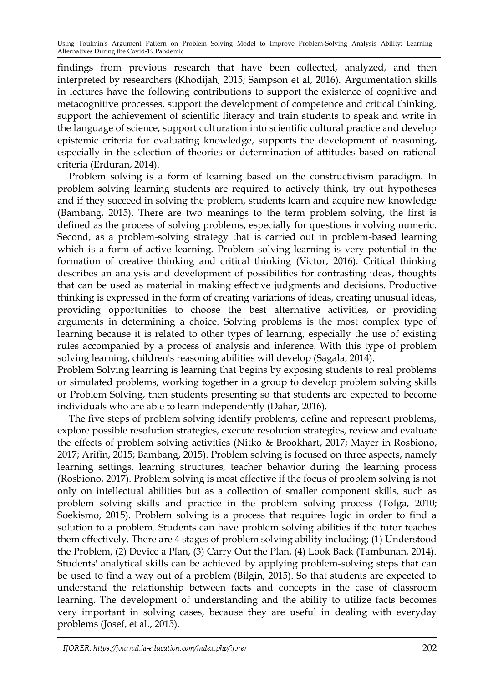findings from previous research that have been collected, analyzed, and then interpreted by researchers (Khodijah, 2015; Sampson et al, 2016). Argumentation skills in lectures have the following contributions to support the existence of cognitive and metacognitive processes, support the development of competence and critical thinking, support the achievement of scientific literacy and train students to speak and write in the language of science, support culturation into scientific cultural practice and develop epistemic criteria for evaluating knowledge, supports the development of reasoning, especially in the selection of theories or determination of attitudes based on rational criteria (Erduran, 2014).

Problem solving is a form of learning based on the constructivism paradigm. In problem solving learning students are required to actively think, try out hypotheses and if they succeed in solving the problem, students learn and acquire new knowledge (Bambang, 2015). There are two meanings to the term problem solving, the first is defined as the process of solving problems, especially for questions involving numeric. Second, as a problem-solving strategy that is carried out in problem-based learning which is a form of active learning. Problem solving learning is very potential in the formation of creative thinking and critical thinking (Victor, 2016). Critical thinking describes an analysis and development of possibilities for contrasting ideas, thoughts that can be used as material in making effective judgments and decisions. Productive thinking is expressed in the form of creating variations of ideas, creating unusual ideas, providing opportunities to choose the best alternative activities, or providing arguments in determining a choice. Solving problems is the most complex type of learning because it is related to other types of learning, especially the use of existing rules accompanied by a process of analysis and inference. With this type of problem solving learning, children's reasoning abilities will develop (Sagala, 2014).

Problem Solving learning is learning that begins by exposing students to real problems or simulated problems, working together in a group to develop problem solving skills or Problem Solving, then students presenting so that students are expected to become individuals who are able to learn independently (Dahar, 2016).

The five steps of problem solving identify problems, define and represent problems, explore possible resolution strategies, execute resolution strategies, review and evaluate the effects of problem solving activities (Nitko & Brookhart, 2017; Mayer in Rosbiono, 2017; Arifin, 2015; Bambang, 2015). Problem solving is focused on three aspects, namely learning settings, learning structures, teacher behavior during the learning process (Rosbiono, 2017). Problem solving is most effective if the focus of problem solving is not only on intellectual abilities but as a collection of smaller component skills, such as problem solving skills and practice in the problem solving process (Tolga, 2010; Soekismo, 2015). Problem solving is a process that requires logic in order to find a solution to a problem. Students can have problem solving abilities if the tutor teaches them effectively. There are 4 stages of problem solving ability including; (1) Understood the Problem, (2) Device a Plan, (3) Carry Out the Plan, (4) Look Back (Tambunan, 2014). Students' analytical skills can be achieved by applying problem-solving steps that can be used to find a way out of a problem (Bilgin, 2015). So that students are expected to understand the relationship between facts and concepts in the case of classroom learning. The development of understanding and the ability to utilize facts becomes very important in solving cases, because they are useful in dealing with everyday problems (Josef, et al., 2015).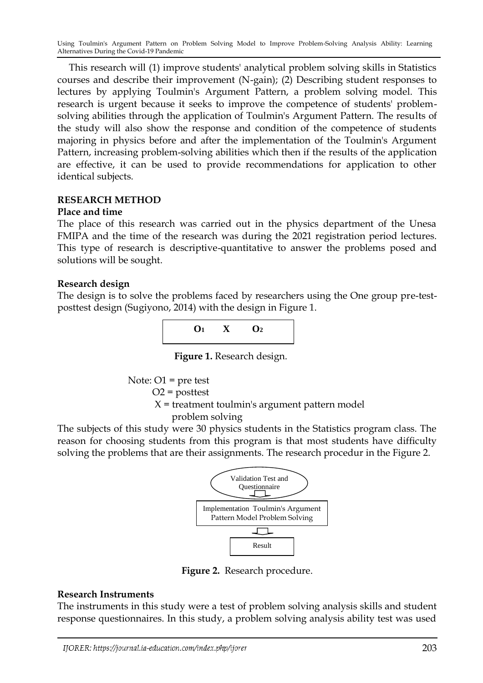This research will (1) improve students' analytical problem solving skills in Statistics courses and describe their improvement (N-gain); (2) Describing student responses to lectures by applying Toulmin's Argument Pattern, a problem solving model. This research is urgent because it seeks to improve the competence of students' problemsolving abilities through the application of Toulmin's Argument Pattern. The results of the study will also show the response and condition of the competence of students majoring in physics before and after the implementation of the Toulmin's Argument Pattern, increasing problem-solving abilities which then if the results of the application are effective, it can be used to provide recommendations for application to other identical subjects.

# **RESEARCH METHOD**

## **Place and time**

The place of this research was carried out in the physics department of the Unesa FMIPA and the time of the research was during the 2021 registration period lectures. This type of research is descriptive-quantitative to answer the problems posed and solutions will be sought.

# **Research design**

The design is to solve the problems faced by researchers using the One group pre-testposttest design (Sugiyono, 2014) with the design in Figure 1.



**Figure 1.** Research design.

 Note: O1 = pre test O2 = posttest X = treatment toulmin's argument pattern model problem solving

The subjects of this study were 30 physics students in the Statistics program class. The reason for choosing students from this program is that most students have difficulty solving the problems that are their assignments. The research procedur in the Figure 2.



**Figure 2.** Research procedure.

# **Research Instruments**

The instruments in this study were a test of problem solving analysis skills and student response questionnaires. In this study, a problem solving analysis ability test was used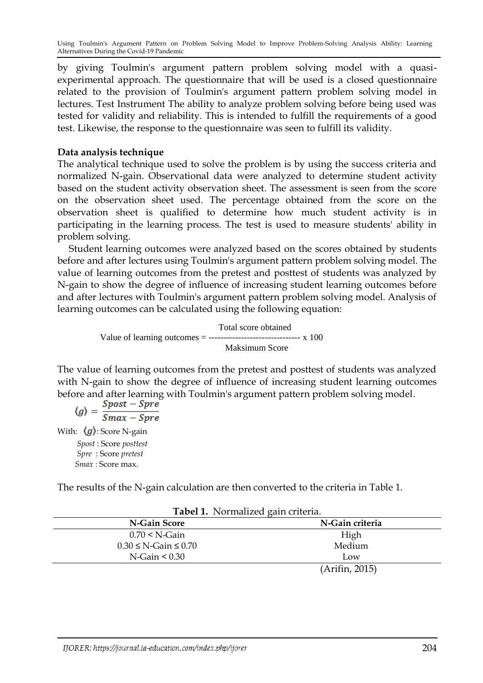by giving Toulmin's argument pattern problem solving model with a quasiexperimental approach. The questionnaire that will be used is a closed questionnaire related to the provision of Toulmin's argument pattern problem solving model in lectures. Test Instrument The ability to analyze problem solving before being used was tested for validity and reliability. This is intended to fulfill the requirements of a good test. Likewise, the response to the questionnaire was seen to fulfill its validity.

# **Data analysis technique**

The analytical technique used to solve the problem is by using the success criteria and normalized N-gain. Observational data were analyzed to determine student activity based on the student activity observation sheet. The assessment is seen from the score on the observation sheet used. The percentage obtained from the score on the observation sheet is qualified to determine how much student activity is in participating in the learning process. The test is used to measure students' ability in problem solving.

Student learning outcomes were analyzed based on the scores obtained by students before and after lectures using Toulmin's argument pattern problem solving model. The value of learning outcomes from the pretest and posttest of students was analyzed by N-gain to show the degree of influence of increasing student learning outcomes before and after lectures with Toulmin's argument pattern problem solving model. Analysis of learning outcomes can be calculated using the following equation:

> Total score obtained Value of learning outcomes  $=$  --------------------------------- x 100 Maksimum Score

The value of learning outcomes from the pretest and posttest of students was analyzed with N-gain to show the degree of influence of increasing student learning outcomes before and after learning with Toulmin's argument pattern problem solving model.

$$
\langle g \rangle = \frac{Spost - Spre}{Smax - Spre}
$$
  
With:  $\langle g \rangle$ : Score N-gain  
Spost : Score posttest  
Spre : Score pretest  
Smax : Score max.

The results of the N-gain calculation are then converted to the criteria in Table 1.

| <b>Tabel 1:</b> Tollitanzed gain criteria. |                 |  |  |  |  |
|--------------------------------------------|-----------------|--|--|--|--|
| N-Gain Score                               | N-Gain criteria |  |  |  |  |
| $0.70 \leq N\text{-Gain}$                  | High            |  |  |  |  |
| $0.30 \le N$ -Gain $\le 0.70$              | Medium          |  |  |  |  |
| $N-Gain < 0.30$                            | Low             |  |  |  |  |
|                                            | (Arifin, 2015)  |  |  |  |  |

#### **Tabel 1.** Normalized gain criteria.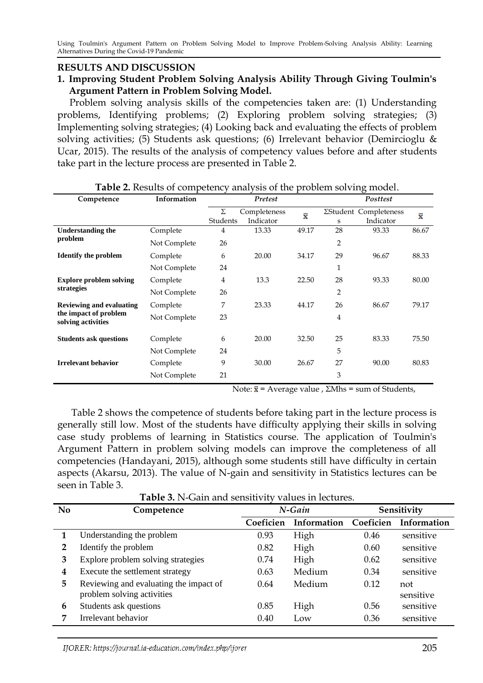# **RESULTS AND DISCUSSION**

# **1. Improving Student Problem Solving Analysis Ability Through Giving Toulmin's Argument Pattern in Problem Solving Model.**

 Problem solving analysis skills of the competencies taken are: (1) Understanding problems, Identifying problems; (2) Exploring problem solving strategies; (3) Implementing solving strategies; (4) Looking back and evaluating the effects of problem solving activities; (5) Students ask questions; (6) Irrelevant behavior (Demircioglu & Ucar, 2015). The results of the analysis of competency values before and after students take part in the lecture process are presented in Table 2.

| Competence                                  | Information  | Pretest                        |           |                              | Posttest       |                    |       |  |
|---------------------------------------------|--------------|--------------------------------|-----------|------------------------------|----------------|--------------------|-------|--|
|                                             |              | Σ<br>Completeness<br>$\bar{x}$ |           | <b>ZStudent Completeness</b> |                | $\bar{\mathbf{x}}$ |       |  |
|                                             |              | Students                       | Indicator |                              | S              | Indicator          |       |  |
| <b>Understanding the</b>                    | Complete     | 4                              | 13.33     | 49.17                        | 28             | 93.33              | 86.67 |  |
| problem                                     | Not Complete | 26                             |           |                              | 2              |                    |       |  |
| <b>Identify the problem</b>                 | Complete     | 6                              | 20.00     | 34.17                        | 29             | 96.67              | 88.33 |  |
|                                             | Not Complete | 24                             |           |                              | 1              |                    |       |  |
| <b>Explore problem solving</b>              | Complete     | 4                              | 13.3      | 22.50                        | 28             | 93.33              | 80.00 |  |
| strategies                                  | Not Complete | 26                             |           |                              | $\overline{2}$ |                    |       |  |
| <b>Reviewing and evaluating</b>             | Complete     | 7                              | 23.33     | 44.17                        | 26             | 86.67              | 79.17 |  |
| the impact of problem<br>solving activities | Not Complete | 23                             |           |                              | $\overline{4}$ |                    |       |  |
| <b>Students ask questions</b>               | Complete     | 6                              | 20.00     | 32.50                        | 25             | 83.33              | 75.50 |  |
|                                             | Not Complete | 24                             |           |                              | 5              |                    |       |  |
| <b>Irrelevant behavior</b>                  | Complete     | 9                              | 30.00     | 26.67                        | 27             | 90.00              | 80.83 |  |
|                                             | Not Complete | 21                             |           |                              | 3              |                    |       |  |

**Table 2.** Results of competency analysis of the problem solving model.

Note:  $\bar{x}$  = Average value , ΣMhs = sum of Students,

Table 2 shows the competence of students before taking part in the lecture process is generally still low. Most of the students have difficulty applying their skills in solving case study problems of learning in Statistics course. The application of Toulmin's Argument Pattern in problem solving models can improve the completeness of all competencies (Handayani, 2015), although some students still have difficulty in certain aspects (Akarsu, 2013). The value of N-gain and sensitivity in Statistics lectures can be seen in Table 3.

**No Competence** *N-Gain* **Sensitivity Coeficien Information Coeficien Information 1** Understanding the problem 0.93 High 0.46 sensitive **2** Identify the problem 0.82 High 0.60 sensitive **3** Explore problem solving strategies 0.74 High 0.62 sensitive **4** Execute the settlement strategy 0.63 Medium 0.34 sensitive **5** Reviewing and evaluating the impact of problem solving activities 0.64 Medium 0.12 not sensitive **6** Students ask questions 0.85 High 0.56 sensitive **7** Irrelevant behavior 0.40 Low 0.36 sensitive

**Table 3.** N-Gain and sensitivity values in lectures.

IJORER: https://journal.ia-education.com/index.php/ijorer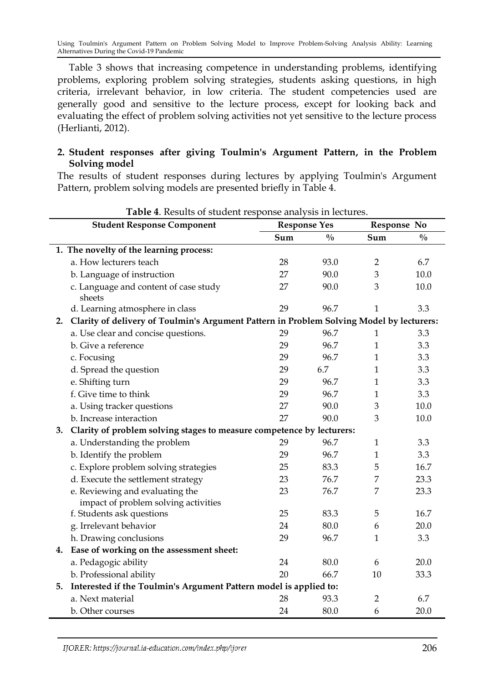Table 3 shows that increasing competence in understanding problems, identifying problems, exploring problem solving strategies, students asking questions, in high criteria, irrelevant behavior, in low criteria. The student competencies used are generally good and sensitive to the lecture process, except for looking back and evaluating the effect of problem solving activities not yet sensitive to the lecture process (Herlianti, 2012).

# **2. Student responses after giving Toulmin's Argument Pattern, in the Problem Solving model**

The results of student responses during lectures by applying Toulmin's Argument Pattern, problem solving models are presented briefly in Table 4.

|                                         | <b>Student Response Component</b>                                                        | <b>Response Yes</b> |               | Response No    |               |  |  |  |  |
|-----------------------------------------|------------------------------------------------------------------------------------------|---------------------|---------------|----------------|---------------|--|--|--|--|
|                                         |                                                                                          | Sum                 | $\frac{0}{0}$ | Sum            | $\frac{0}{0}$ |  |  |  |  |
| 1. The novelty of the learning process: |                                                                                          |                     |               |                |               |  |  |  |  |
|                                         | a. How lecturers teach                                                                   | 28                  | 93.0          | $\overline{2}$ | 6.7           |  |  |  |  |
|                                         | b. Language of instruction                                                               | 27                  | 90.0          | 3              | 10.0          |  |  |  |  |
|                                         | c. Language and content of case study<br>sheets                                          | 27                  | 90.0          | 3              | 10.0          |  |  |  |  |
|                                         | d. Learning atmosphere in class                                                          | 29                  | 96.7          | 1              | 3.3           |  |  |  |  |
| 2.                                      | Clarity of delivery of Toulmin's Argument Pattern in Problem Solving Model by lecturers: |                     |               |                |               |  |  |  |  |
|                                         | a. Use clear and concise questions.                                                      | 29                  | 96.7          | 1              | 3.3           |  |  |  |  |
|                                         | b. Give a reference                                                                      | 29                  | 96.7          | 1              | 3.3           |  |  |  |  |
|                                         | c. Focusing                                                                              | 29                  | 96.7          | 1              | 3.3           |  |  |  |  |
|                                         | d. Spread the question                                                                   | 29                  | 6.7           | $\mathbf{1}$   | 3.3           |  |  |  |  |
|                                         | e. Shifting turn                                                                         | 29                  | 96.7          | 1              | 3.3           |  |  |  |  |
|                                         | f. Give time to think                                                                    | 29                  | 96.7          | $\mathbf{1}$   | 3.3           |  |  |  |  |
|                                         | a. Using tracker questions                                                               | 27                  | 90.0          | 3              | 10.0          |  |  |  |  |
|                                         | b. Increase interaction                                                                  | 27                  | 90.0          | 3              | 10.0          |  |  |  |  |
| 3.                                      | Clarity of problem solving stages to measure competence by lecturers:                    |                     |               |                |               |  |  |  |  |
|                                         | a. Understanding the problem                                                             | 29                  | 96.7          | $\mathbf{1}$   | 3.3           |  |  |  |  |
|                                         | b. Identify the problem                                                                  | 29                  | 96.7          | 1              | 3.3           |  |  |  |  |
|                                         | c. Explore problem solving strategies                                                    | 25                  | 83.3          | 5              | 16.7          |  |  |  |  |
|                                         | d. Execute the settlement strategy                                                       | 23                  | 76.7          | 7              | 23.3          |  |  |  |  |
|                                         | e. Reviewing and evaluating the<br>impact of problem solving activities                  | 23                  | 76.7          | 7              | 23.3          |  |  |  |  |
|                                         | f. Students ask questions                                                                | 25                  | 83.3          | 5              | 16.7          |  |  |  |  |
|                                         | g. Irrelevant behavior                                                                   | 24                  | 80.0          | 6              | 20.0          |  |  |  |  |
|                                         | h. Drawing conclusions                                                                   | 29                  | 96.7          | 1              | 3.3           |  |  |  |  |
| 4.                                      | Ease of working on the assessment sheet:                                                 |                     |               |                |               |  |  |  |  |
|                                         | a. Pedagogic ability                                                                     | 24                  | 80.0          | 6              | 20.0          |  |  |  |  |
|                                         | b. Professional ability                                                                  | 20                  | 66.7          | 10             | 33.3          |  |  |  |  |
| 5.                                      | Interested if the Toulmin's Argument Pattern model is applied to:                        |                     |               |                |               |  |  |  |  |
|                                         | a. Next material                                                                         | 28                  | 93.3          | $\overline{2}$ | 6.7           |  |  |  |  |
|                                         | b. Other courses                                                                         | 24                  | 80.0          | 6              | 20.0          |  |  |  |  |

#### **Table 4**. Results of student response analysis in lectures.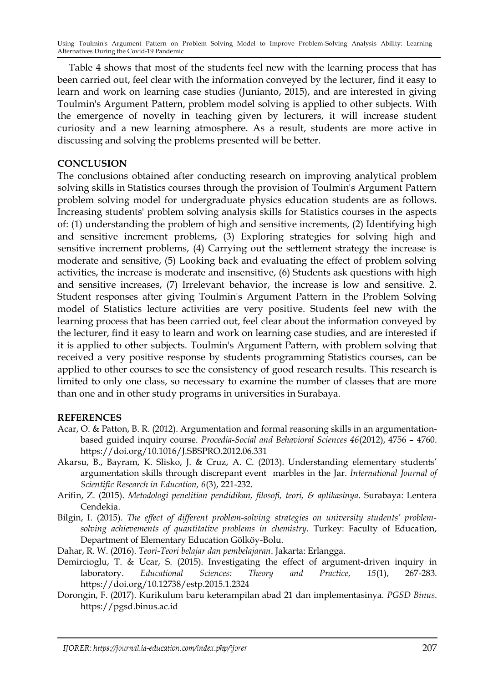Table 4 shows that most of the students feel new with the learning process that has been carried out, feel clear with the information conveyed by the lecturer, find it easy to learn and work on learning case studies (Junianto, 2015), and are interested in giving Toulmin's Argument Pattern, problem model solving is applied to other subjects. With the emergence of novelty in teaching given by lecturers, it will increase student curiosity and a new learning atmosphere. As a result, students are more active in discussing and solving the problems presented will be better.

## **CONCLUSION**

The conclusions obtained after conducting research on improving analytical problem solving skills in Statistics courses through the provision of Toulmin's Argument Pattern problem solving model for undergraduate physics education students are as follows. Increasing students' problem solving analysis skills for Statistics courses in the aspects of: (1) understanding the problem of high and sensitive increments, (2) Identifying high and sensitive increment problems, (3) Exploring strategies for solving high and sensitive increment problems, (4) Carrying out the settlement strategy the increase is moderate and sensitive, (5) Looking back and evaluating the effect of problem solving activities, the increase is moderate and insensitive, (6) Students ask questions with high and sensitive increases, (7) Irrelevant behavior, the increase is low and sensitive. 2. Student responses after giving Toulmin's Argument Pattern in the Problem Solving model of Statistics lecture activities are very positive. Students feel new with the learning process that has been carried out, feel clear about the information conveyed by the lecturer, find it easy to learn and work on learning case studies, and are interested if it is applied to other subjects. Toulmin's Argument Pattern, with problem solving that received a very positive response by students programming Statistics courses, can be applied to other courses to see the consistency of good research results. This research is limited to only one class, so necessary to examine the number of classes that are more than one and in other study programs in universities in Surabaya.

#### **REFERENCES**

- Acar, O. & Patton, B. R. (2012). Argumentation and formal reasoning skills in an argumentationbased guided inquiry course. *Procedia-Social and Behavioral Sciences 46*(2012), 4756 – 4760. https://doi.org/10.1016/J.SBSPRO.2012.06.331
- Akarsu, B., Bayram, K. Slisko, J. & Cruz, A. C. (2013). Understanding elementary students' argumentation skills through discrepant event marbles in the Jar. *International Journal of Scientific Research in Education, 6*(3), 221-232.
- Arifin, Z. (2015). *Metodologi penelitian pendidikan, filosofi, teori, & aplikasinya.* Surabaya: Lentera Cendekia.
- Bilgin, I. (2015). *The effect of different problem-solving strategies on university students' problemsolving achievements of quantitative problems in chemistry.* Turkey: Faculty of Education, Department of Elementary Education Gölköy-Bolu.
- Dahar, R. W. (2016). *Teori-Teori belajar dan pembelajaran*. Jakarta: Erlangga.
- Demircioglu, T. & Ucar, S. (2015). Investigating the effect of argument-driven inquiry in laboratory. *Educational Sciences: Theory and Practice, 15*(1), 267-283. https://doi.org/10.12738/estp.2015.1.2324
- Dorongin, F. (2017). Kurikulum baru keterampilan abad 21 dan implementasinya. *PGSD Binus*. https://pgsd.binus.ac.id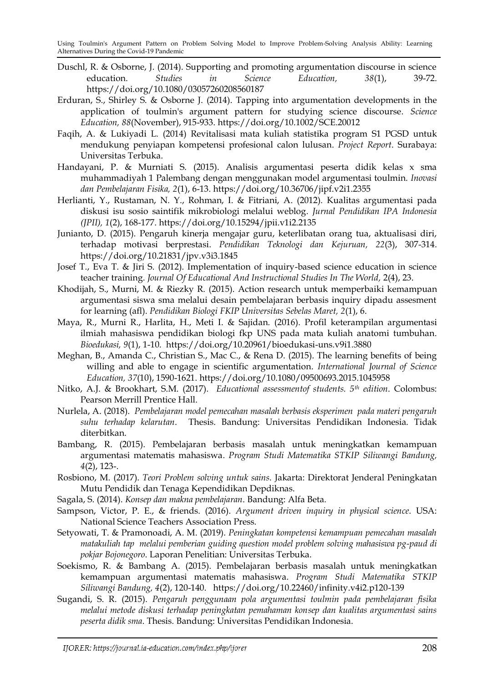- Duschl, R. & Osborne, J. (2014). Supporting and promoting argumentation discourse in science education. *Studies in Science Education, 38*(1), 39-72. <https://doi.org/10.1080/03057260208560187>
- Erduran, S., Shirley S. & Osborne J. (2014). Tapping into argumentation developments in the application of toulmin's argument pattern for studying science discourse. *Science Education, 88*(November), 915-933. https://doi.org/10.1002/SCE.20012
- Faqih, A. & Lukiyadi L. (2014) Revitalisasi mata kuliah statistika program S1 PGSD untuk mendukung penyiapan kompetensi profesional calon lulusan. *Project Report*. Surabaya: Universitas Terbuka.
- Handayani, P. & Murniati S. (2015). Analisis argumentasi peserta didik kelas x sma muhammadiyah 1 Palembang dengan menggunakan model argumentasi toulmin. *Inovasi dan Pembelajaran Fisika, 2*(1), 6-13[. https://doi.org/10.36706/jipf.v2i1.2355](https://doi.org/10.36706/jipf.v2i1.2355)
- Herlianti, Y., Rustaman, N. Y., Rohman, I. & Fitriani, A. (2012). Kualitas argumentasi pada diskusi isu sosio saintifik mikrobiologi melalui weblog. *Jurnal Pendidikan IPA Indonesia (JPII), 1*(2), 168-177.<https://doi.org/10.15294/jpii.v1i2.2135>
- Junianto, D. (2015). Pengaruh kinerja mengajar guru, keterlibatan orang tua, aktualisasi diri, terhadap motivasi berprestasi. *Pendidikan Teknologi dan Kejuruan, 22*(3), 307-314. <https://doi.org/10.21831/jpv.v3i3.1845>
- Josef T., Eva T. & Jiri S. (2012). Implementation of inquiry-based science education in science teacher training. *Journal Of Educational And Instructional Studies In The World, 2(4), 23.*
- Khodijah, S., Murni, M. & Riezky R. (2015). Action research untuk memperbaiki kemampuan argumentasi siswa sma melalui desain pembelajaran berbasis inquiry dipadu assesment for learning (afl). *Pendidikan Biologi FKIP Universitas Sebelas Maret, 2*(1), 6.
- Maya, R., Murni R., Harlita, H., Meti I. & Sajidan. (2016). Profil keterampilan argumentasi ilmiah mahasiswa pendidikan biologi fkp UNS pada mata kuliah anatomi tumbuhan. *Bioedukasi, 9*(1), 1-10. https://doi.org/10.20961/bioedukasi-uns.v9i1.3880
- Meghan, B., Amanda C., Christian S., Mac C., & Rena D. (2015). The learning benefits of being willing and able to engage in scientific argumentation. *International Journal of Science Education, 37*(10), 1590-1621.<https://doi.org/10.1080/09500693.2015.1045958>
- Nitko, A.J. & Brookhart, S.M. (2017). *Educational assessmentof students. 5th edition*. Colombus: Pearson Merrill Prentice Hall.
- Nurlela, A. (2018). *Pembelajaran model pemecahan masalah berbasis eksperimen pada materi pengaruh suhu terhadap kelarutan*. Thesis. Bandung: Universitas Pendidikan Indonesia. Tidak diterbitkan.
- Bambang, R. (2015). Pembelajaran berbasis masalah untuk meningkatkan kemampuan argumentasi matematis mahasiswa. *Program Studi Matematika STKIP Siliwangi Bandung, 4*(2), 123-.
- Rosbiono, M. (2017). *Teori Problem solving untuk sains*. Jakarta: Direktorat Jenderal Peningkatan Mutu Pendidik dan Tenaga Kependidikan Depdiknas.
- Sagala, S. (2014). *Konsep dan makna pembelajaran*. Bandung: Alfa Beta.
- Sampson, Victor, P. E., & friends. (2016). *Argument driven inquiry in physical science*. USA: National Science Teachers Association Press.
- Setyowati, T. & Pramonoadi, A. M. (2019). *Peningkatan kompetensi kemampuan pemecahan masalah matakuliah tap melalui pemberian guiding question model problem solving mahasiswa pg-paud di pokjar Bojonegoro*. Laporan Penelitian: Universitas Terbuka.
- Soekismo, R. & Bambang A. (2015). Pembelajaran berbasis masalah untuk meningkatkan kemampuan argumentasi matematis mahasiswa. *Program Studi Matematika STKIP Siliwangi Bandung, 4*(2), 120-140. <https://doi.org/10.22460/infinity.v4i2.p120-139>
- Sugandi, S. R. (2015). *Pengaruh penggunaan pola argumentasi toulmin pada pembelajaran fisika melalui metode diskusi terhadap peningkatan pemahaman konsep dan kualitas argumentasi sains peserta didik sma*. Thesis. Bandung: Universitas Pendidikan Indonesia.